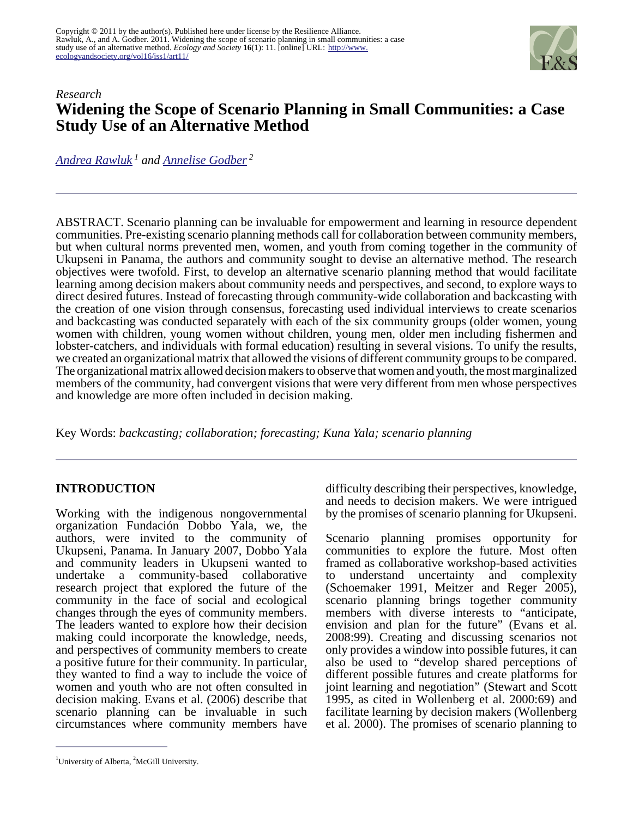

# *Research* **Widening the Scope of Scenario Planning in Small Communities: a Case Study Use of an Alternative Method**

*[Andrea Rawluk](mailto:ajrawluk@ualberta.ca)<sup>1</sup> and [Annelise Godber](mailto:annelise.godber@mail.mcgill.ca)<sup>2</sup>*

ABSTRACT. Scenario planning can be invaluable for empowerment and learning in resource dependent communities. Pre-existing scenario planning methods call for collaboration between community members, but when cultural norms prevented men, women, and youth from coming together in the community of Ukupseni in Panama, the authors and community sought to devise an alternative method. The research objectives were twofold. First, to develop an alternative scenario planning method that would facilitate learning among decision makers about community needs and perspectives, and second, to explore ways to direct desired futures. Instead of forecasting through community-wide collaboration and backcasting with the creation of one vision through consensus, forecasting used individual interviews to create scenarios and backcasting was conducted separately with each of the six community groups (older women, young women with children, young women without children, young men, older men including fishermen and lobster-catchers, and individuals with formal education) resulting in several visions. To unify the results, we created an organizational matrix that allowed the visions of different community groups to be compared. The organizational matrix allowed decision makers to observe that women and youth, the most marginalized members of the community, had convergent visions that were very different from men whose perspectives and knowledge are more often included in decision making.

Key Words: *backcasting; collaboration; forecasting; Kuna Yala; scenario planning*

#### **INTRODUCTION**

Working with the indigenous nongovernmental organization Fundación Dobbo Yala, we, the authors, were invited to the community of Ukupseni, Panama. In January 2007, Dobbo Yala and community leaders in Ukupseni wanted to undertake a community-based collaborative research project that explored the future of the community in the face of social and ecological changes through the eyes of community members. The leaders wanted to explore how their decision making could incorporate the knowledge, needs, and perspectives of community members to create a positive future for their community. In particular, they wanted to find a way to include the voice of women and youth who are not often consulted in decision making. Evans et al. (2006) describe that scenario planning can be invaluable in such circumstances where community members have

<sup>1</sup>University of Alberta,  ${}^{2}$ McGill University.

difficulty describing their perspectives, knowledge, and needs to decision makers. We were intrigued by the promises of scenario planning for Ukupseni.

Scenario planning promises opportunity for communities to explore the future. Most often framed as collaborative workshop-based activities<br>to understand uncertainty and complexity to understand uncertainty and complexity (Schoemaker 1991, Meitzer and Reger 2005), scenario planning brings together community members with diverse interests to "anticipate, envision and plan for the future" (Evans et al. 2008:99). Creating and discussing scenarios not only provides a window into possible futures, it can also be used to "develop shared perceptions of different possible futures and create platforms for joint learning and negotiation" (Stewart and Scott 1995, as cited in Wollenberg et al. 2000:69) and facilitate learning by decision makers (Wollenberg et al. 2000). The promises of scenario planning to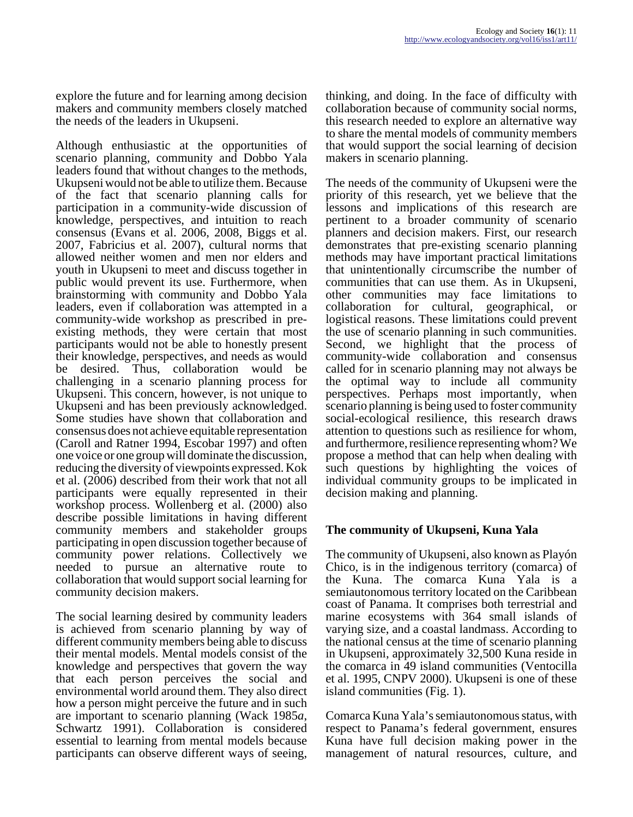explore the future and for learning among decision makers and community members closely matched the needs of the leaders in Ukupseni.

Although enthusiastic at the opportunities of scenario planning, community and Dobbo Yala leaders found that without changes to the methods, Ukupseni would not be able to utilize them. Because of the fact that scenario planning calls for participation in a community-wide discussion of knowledge, perspectives, and intuition to reach consensus (Evans et al. 2006, 2008, Biggs et al. 2007, Fabricius et al. 2007), cultural norms that allowed neither women and men nor elders and youth in Ukupseni to meet and discuss together in public would prevent its use. Furthermore, when brainstorming with community and Dobbo Yala leaders, even if collaboration was attempted in a community-wide workshop as prescribed in preexisting methods, they were certain that most participants would not be able to honestly present their knowledge, perspectives, and needs as would be desired. Thus, collaboration would be challenging in a scenario planning process for Ukupseni. This concern, however, is not unique to Ukupseni and has been previously acknowledged. Some studies have shown that collaboration and consensus does not achieve equitable representation (Caroll and Ratner 1994, Escobar 1997) and often one voice or one group will dominate the discussion, reducing the diversity of viewpoints expressed. Kok et al. (2006) described from their work that not all participants were equally represented in their workshop process. Wollenberg et al. (2000) also describe possible limitations in having different community members and stakeholder groups participating in open discussion together because of community power relations. Collectively we needed to pursue an alternative route to collaboration that would support social learning for community decision makers.

The social learning desired by community leaders is achieved from scenario planning by way of different community members being able to discuss their mental models. Mental models consist of the knowledge and perspectives that govern the way that each person perceives the social and environmental world around them. They also direct how a person might perceive the future and in such are important to scenario planning (Wack 1985*a*, Schwartz 1991). Collaboration is considered essential to learning from mental models because participants can observe different ways of seeing,

thinking, and doing. In the face of difficulty with collaboration because of community social norms, this research needed to explore an alternative way to share the mental models of community members that would support the social learning of decision makers in scenario planning.

The needs of the community of Ukupseni were the priority of this research, yet we believe that the lessons and implications of this research are pertinent to a broader community of scenario planners and decision makers. First, our research demonstrates that pre-existing scenario planning methods may have important practical limitations that unintentionally circumscribe the number of communities that can use them. As in Ukupseni, other communities may face limitations to collaboration for cultural, geographical, logistical reasons. These limitations could prevent the use of scenario planning in such communities. Second, we highlight that the process of community-wide collaboration and consensus called for in scenario planning may not always be the optimal way to include all community perspectives. Perhaps most importantly, when scenario planning is being used to foster community social-ecological resilience, this research draws attention to questions such as resilience for whom, and furthermore, resilience representing whom? We propose a method that can help when dealing with such questions by highlighting the voices of individual community groups to be implicated in decision making and planning.

#### **The community of Ukupseni, Kuna Yala**

The community of Ukupseni, also known as Playón Chico, is in the indigenous territory (comarca) of the Kuna. The comarca Kuna Yala is a semiautonomous territory located on the Caribbean coast of Panama. It comprises both terrestrial and marine ecosystems with 364 small islands of varying size, and a coastal landmass. According to the national census at the time of scenario planning in Ukupseni, approximately 32,500 Kuna reside in the comarca in 49 island communities (Ventocilla et al. 1995, CNPV 2000). Ukupseni is one of these island communities (Fig. 1).

Comarca Kuna Yala's semiautonomous status, with respect to Panama's federal government, ensures Kuna have full decision making power in the management of natural resources, culture, and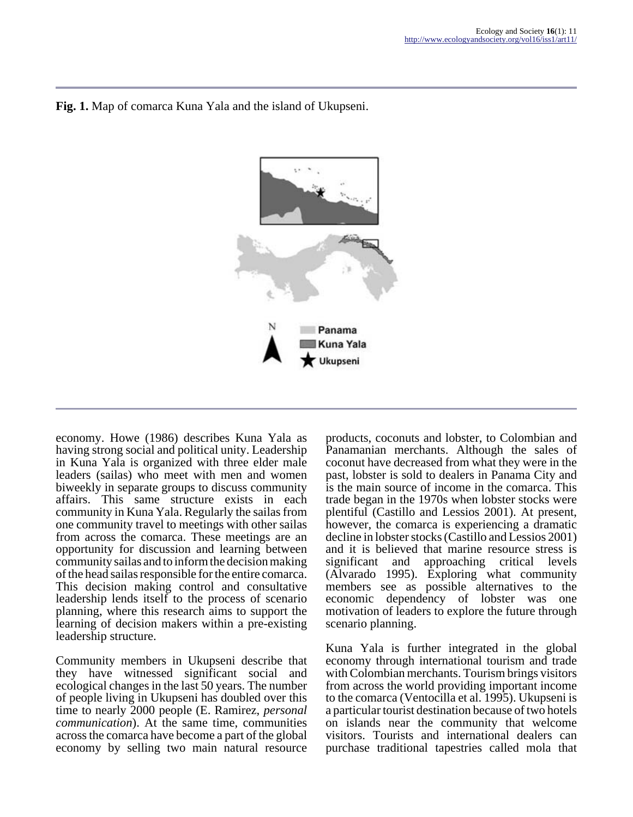

### **Fig. 1.** Map of comarca Kuna Yala and the island of Ukupseni.

economy. Howe (1986) describes Kuna Yala as having strong social and political unity. Leadership in Kuna Yala is organized with three elder male leaders (sailas) who meet with men and women biweekly in separate groups to discuss community affairs. This same structure exists in each community in Kuna Yala. Regularly the sailas from one community travel to meetings with other sailas from across the comarca. These meetings are an opportunity for discussion and learning between community sailas and to inform the decision making of the head sailas responsible for the entire comarca. This decision making control and consultative leadership lends itself to the process of scenario planning, where this research aims to support the learning of decision makers within a pre-existing leadership structure.

Community members in Ukupseni describe that they have witnessed significant social and ecological changes in the last 50 years. The number of people living in Ukupseni has doubled over this time to nearly 2000 people (E. Ramirez, *personal communication*). At the same time, communities across the comarca have become a part of the global economy by selling two main natural resource

products, coconuts and lobster, to Colombian and Panamanian merchants. Although the sales of coconut have decreased from what they were in the past, lobster is sold to dealers in Panama City and is the main source of income in the comarca. This trade began in the 1970s when lobster stocks were plentiful (Castillo and Lessios 2001). At present, however, the comarca is experiencing a dramatic decline in lobster stocks (Castillo and Lessios 2001) and it is believed that marine resource stress is significant and approaching critical levels (Alvarado 1995). Exploring what community members see as possible alternatives to the economic dependency of lobster was one motivation of leaders to explore the future through scenario planning.

Kuna Yala is further integrated in the global economy through international tourism and trade with Colombian merchants. Tourism brings visitors from across the world providing important income to the comarca (Ventocilla et al. 1995). Ukupseni is a particular tourist destination because of two hotels on islands near the community that welcome visitors. Tourists and international dealers can purchase traditional tapestries called mola that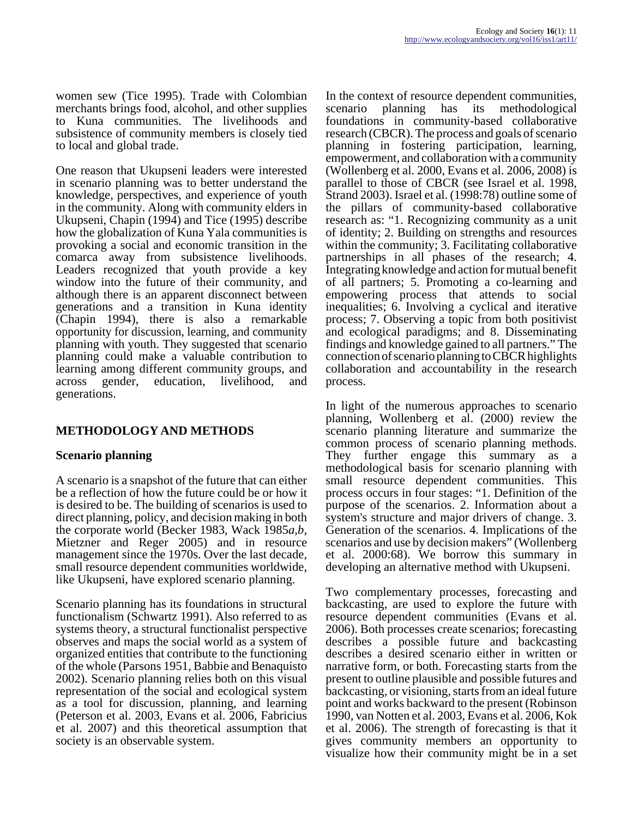women sew (Tice 1995). Trade with Colombian merchants brings food, alcohol, and other supplies to Kuna communities. The livelihoods and subsistence of community members is closely tied to local and global trade.

One reason that Ukupseni leaders were interested in scenario planning was to better understand the knowledge, perspectives, and experience of youth in the community. Along with community elders in Ukupseni, Chapin (1994) and Tice (1995) describe how the globalization of Kuna Yala communities is provoking a social and economic transition in the comarca away from subsistence livelihoods. Leaders recognized that youth provide a key window into the future of their community, and although there is an apparent disconnect between generations and a transition in Kuna identity (Chapin 1994), there is also a remarkable opportunity for discussion, learning, and community planning with youth. They suggested that scenario planning could make a valuable contribution to learning among different community groups, and across gender, education, livelihood, and generations.

# **METHODOLOGY AND METHODS**

#### **Scenario planning**

A scenario is a snapshot of the future that can either be a reflection of how the future could be or how it is desired to be. The building of scenarios is used to direct planning, policy, and decision making in both the corporate world (Becker 1983, Wack 1985*a,b*, Mietzner and Reger 2005) and in resource management since the 1970s. Over the last decade, small resource dependent communities worldwide, like Ukupseni, have explored scenario planning.

Scenario planning has its foundations in structural functionalism (Schwartz 1991). Also referred to as systems theory, a structural functionalist perspective observes and maps the social world as a system of organized entities that contribute to the functioning of the whole (Parsons 1951, Babbie and Benaquisto 2002). Scenario planning relies both on this visual representation of the social and ecological system as a tool for discussion, planning, and learning (Peterson et al. 2003, Evans et al. 2006, Fabricius et al. 2007) and this theoretical assumption that society is an observable system.

In the context of resource dependent communities, scenario planning has its methodological foundations in community-based collaborative research (CBCR). The process and goals of scenario planning in fostering participation, learning, empowerment, and collaboration with a community (Wollenberg et al. 2000, Evans et al. 2006, 2008) is parallel to those of CBCR (see Israel et al. 1998, Strand 2003). Israel et al. (1998:78) outline some of the pillars of community-based collaborative research as: "1. Recognizing community as a unit of identity; 2. Building on strengths and resources within the community; 3. Facilitating collaborative partnerships in all phases of the research; 4. Integrating knowledge and action for mutual benefit of all partners; 5. Promoting a co-learning and empowering process that attends to social inequalities; 6. Involving a cyclical and iterative process; 7. Observing a topic from both positivist and ecological paradigms; and 8. Disseminating findings and knowledge gained to all partners." The connection of scenario planning to CBCR highlights collaboration and accountability in the research process.

In light of the numerous approaches to scenario planning, Wollenberg et al. (2000) review the scenario planning literature and summarize the common process of scenario planning methods. They further engage this summary as a methodological basis for scenario planning with small resource dependent communities. This process occurs in four stages: "1. Definition of the purpose of the scenarios. 2. Information about a system's structure and major drivers of change. 3. Generation of the scenarios. 4. Implications of the scenarios and use by decision makers" (Wollenberg et al. 2000:68). We borrow this summary in developing an alternative method with Ukupseni.

Two complementary processes, forecasting and backcasting, are used to explore the future with resource dependent communities (Evans et al. 2006). Both processes create scenarios; forecasting describes a possible future and backcasting describes a desired scenario either in written or narrative form, or both. Forecasting starts from the present to outline plausible and possible futures and backcasting, or visioning, starts from an ideal future point and works backward to the present (Robinson 1990, van Notten et al. 2003, Evans et al. 2006, Kok et al. 2006). The strength of forecasting is that it gives community members an opportunity to visualize how their community might be in a set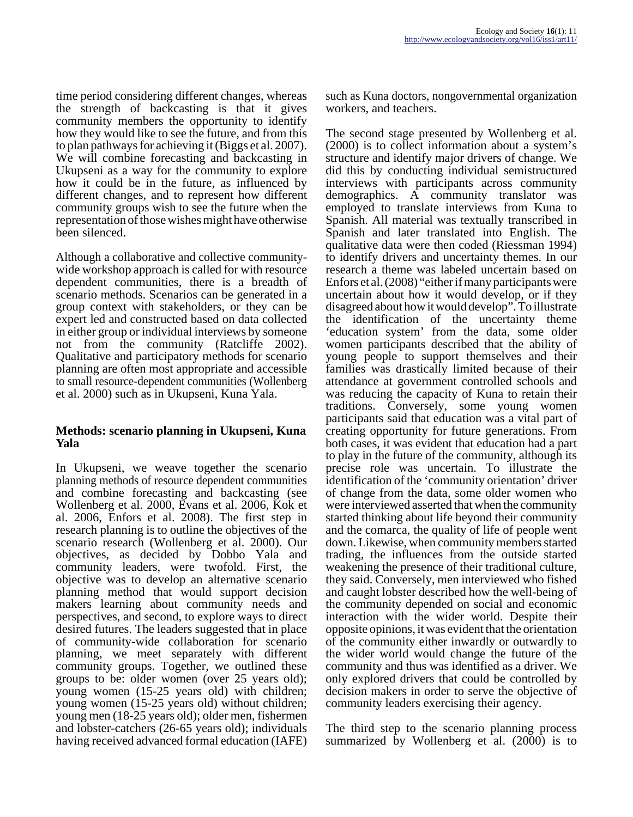time period considering different changes, whereas the strength of backcasting is that it gives community members the opportunity to identify how they would like to see the future, and from this to plan pathways for achieving it (Biggs et al. 2007). We will combine forecasting and backcasting in Ukupseni as a way for the community to explore how it could be in the future, as influenced by different changes, and to represent how different community groups wish to see the future when the representation of those wishes might have otherwise been silenced.

Although a collaborative and collective communitywide workshop approach is called for with resource dependent communities, there is a breadth of scenario methods. Scenarios can be generated in a group context with stakeholders, or they can be expert led and constructed based on data collected in either group or individual interviews by someone not from the community (Ratcliffe 2002). Qualitative and participatory methods for scenario planning are often most appropriate and accessible to small resource-dependent communities (Wollenberg et al. 2000) such as in Ukupseni, Kuna Yala.

#### **Methods: scenario planning in Ukupseni, Kuna Yala**

In Ukupseni, we weave together the scenario planning methods of resource dependent communities and combine forecasting and backcasting (see Wollenberg et al. 2000, Evans et al. 2006, Kok et al. 2006, Enfors et al. 2008). The first step in research planning is to outline the objectives of the scenario research (Wollenberg et al. 2000). Our objectives, as decided by Dobbo Yala and community leaders, were twofold. First, the objective was to develop an alternative scenario planning method that would support decision makers learning about community needs and perspectives, and second, to explore ways to direct desired futures. The leaders suggested that in place of community-wide collaboration for scenario planning, we meet separately with different community groups. Together, we outlined these groups to be: older women (over 25 years old); young women (15-25 years old) with children; young women (15-25 years old) without children; young men (18-25 years old); older men, fishermen and lobster-catchers (26-65 years old); individuals having received advanced formal education (IAFE) such as Kuna doctors, nongovernmental organization workers, and teachers.

The second stage presented by Wollenberg et al. (2000) is to collect information about a system's structure and identify major drivers of change. We did this by conducting individual semistructured interviews with participants across community demographics. A community translator was employed to translate interviews from Kuna to Spanish. All material was textually transcribed in Spanish and later translated into English. The qualitative data were then coded (Riessman 1994) to identify drivers and uncertainty themes. In our research a theme was labeled uncertain based on Enfors et al. (2008) "either if many participants were uncertain about how it would develop, or if they disagreed about how it would develop". To illustrate the identification of the uncertainty theme 'education system' from the data, some older women participants described that the ability of young people to support themselves and their families was drastically limited because of their attendance at government controlled schools and was reducing the capacity of Kuna to retain their traditions. Conversely, some young women participants said that education was a vital part of creating opportunity for future generations. From both cases, it was evident that education had a part to play in the future of the community, although its precise role was uncertain. To illustrate the identification of the 'community orientation' driver of change from the data, some older women who were interviewed asserted that when the community started thinking about life beyond their community and the comarca, the quality of life of people went down. Likewise, when community members started trading, the influences from the outside started weakening the presence of their traditional culture, they said. Conversely, men interviewed who fished and caught lobster described how the well-being of the community depended on social and economic interaction with the wider world. Despite their opposite opinions, it was evident that the orientation of the community either inwardly or outwardly to the wider world would change the future of the community and thus was identified as a driver. We only explored drivers that could be controlled by decision makers in order to serve the objective of community leaders exercising their agency.

The third step to the scenario planning process summarized by Wollenberg et al. (2000) is to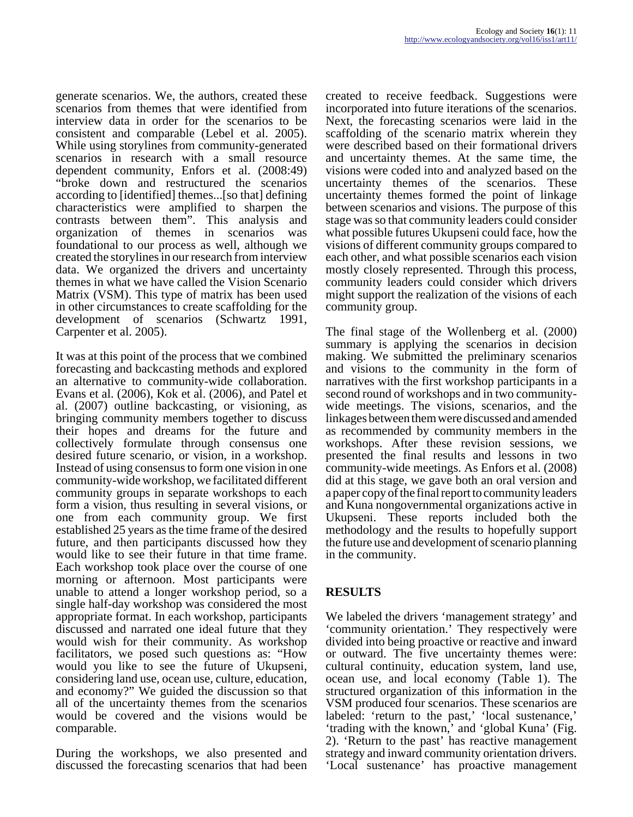generate scenarios. We, the authors, created these scenarios from themes that were identified from interview data in order for the scenarios to be consistent and comparable (Lebel et al. 2005). While using storylines from community-generated scenarios in research with a small resource dependent community, Enfors et al. (2008:49) "broke down and restructured the scenarios according to [identified] themes...[so that] defining characteristics were amplified to sharpen the contrasts between them". This analysis and organization of themes in scenarios was foundational to our process as well, although we created the storylines in our research from interview data. We organized the drivers and uncertainty themes in what we have called the Vision Scenario Matrix (VSM). This type of matrix has been used in other circumstances to create scaffolding for the development of scenarios (Schwartz 1991, Carpenter et al. 2005).

It was at this point of the process that we combined forecasting and backcasting methods and explored an alternative to community-wide collaboration. Evans et al. (2006), Kok et al. (2006), and Patel et al. (2007) outline backcasting, or visioning, as bringing community members together to discuss their hopes and dreams for the future and collectively formulate through consensus one desired future scenario, or vision, in a workshop. Instead of using consensus to form one vision in one community-wide workshop, we facilitated different community groups in separate workshops to each form a vision, thus resulting in several visions, or one from each community group. We first established 25 years as the time frame of the desired future, and then participants discussed how they would like to see their future in that time frame. Each workshop took place over the course of one morning or afternoon. Most participants were unable to attend a longer workshop period, so a single half-day workshop was considered the most appropriate format. In each workshop, participants discussed and narrated one ideal future that they would wish for their community. As workshop facilitators, we posed such questions as: "How would you like to see the future of Ukupseni, considering land use, ocean use, culture, education, and economy?" We guided the discussion so that all of the uncertainty themes from the scenarios would be covered and the visions would be comparable.

During the workshops, we also presented and discussed the forecasting scenarios that had been created to receive feedback. Suggestions were incorporated into future iterations of the scenarios. Next, the forecasting scenarios were laid in the scaffolding of the scenario matrix wherein they were described based on their formational drivers and uncertainty themes. At the same time, the visions were coded into and analyzed based on the uncertainty themes of the scenarios. These uncertainty themes formed the point of linkage between scenarios and visions. The purpose of this stage was so that community leaders could consider what possible futures Ukupseni could face, how the visions of different community groups compared to each other, and what possible scenarios each vision mostly closely represented. Through this process, community leaders could consider which drivers might support the realization of the visions of each community group.

The final stage of the Wollenberg et al. (2000) summary is applying the scenarios in decision making. We submitted the preliminary scenarios and visions to the community in the form of narratives with the first workshop participants in a second round of workshops and in two communitywide meetings. The visions, scenarios, and the linkages between them were discussed and amended as recommended by community members in the workshops. After these revision sessions, we presented the final results and lessons in two community-wide meetings. As Enfors et al. (2008) did at this stage, we gave both an oral version and a paper copy of the final report to community leaders and Kuna nongovernmental organizations active in Ukupseni. These reports included both the methodology and the results to hopefully support the future use and development of scenario planning in the community.

# **RESULTS**

We labeled the drivers 'management strategy' and 'community orientation.' They respectively were divided into being proactive or reactive and inward or outward. The five uncertainty themes were: cultural continuity, education system, land use, ocean use, and local economy (Table 1). The structured organization of this information in the VSM produced four scenarios. These scenarios are labeled: 'return to the past,' 'local sustenance,' 'trading with the known,' and 'global Kuna' (Fig. 2). 'Return to the past' has reactive management strategy and inward community orientation drivers. 'Local sustenance' has proactive management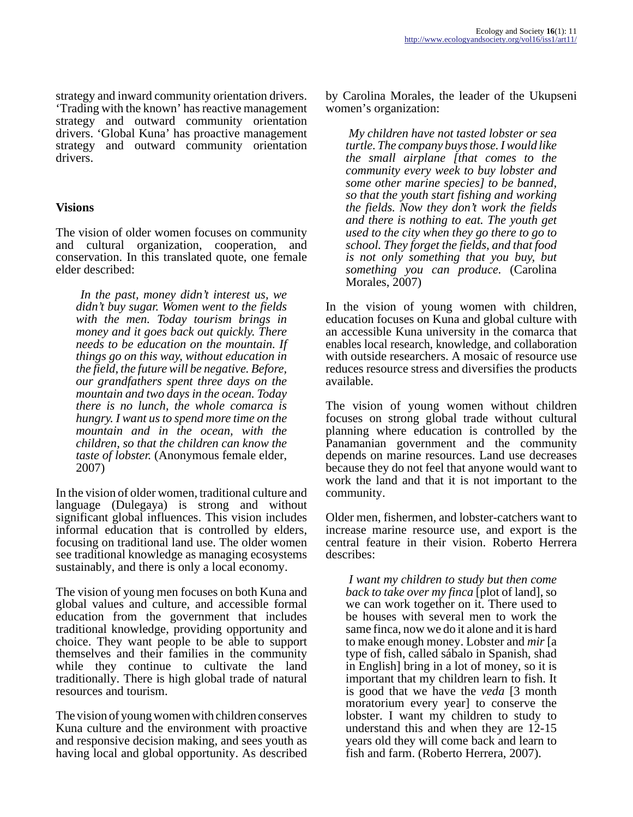strategy and inward community orientation drivers. 'Trading with the known' has reactive management strategy and outward community orientation drivers. 'Global Kuna' has proactive management strategy and outward community orientation drivers.

#### **Visions**

The vision of older women focuses on community and cultural organization, cooperation, and conservation. In this translated quote, one female elder described:

*In the past, money didn't interest us, we didn't buy sugar. Women went to the fields with the men. Today tourism brings in money and it goes back out quickly. There needs to be education on the mountain. If things go on this way, without education in the field, the future will be negative. Before, our grandfathers spent three days on the mountain and two days in the ocean. Today there is no lunch, the whole comarca is hungry. I want us to spend more time on the mountain and in the ocean, with the children, so that the children can know the taste of lobster.* (Anonymous female elder, 2007)

In the vision of older women, traditional culture and language (Dulegaya) is strong and without significant global influences. This vision includes informal education that is controlled by elders, focusing on traditional land use. The older women see traditional knowledge as managing ecosystems sustainably, and there is only a local economy.

The vision of young men focuses on both Kuna and global values and culture, and accessible formal education from the government that includes traditional knowledge, providing opportunity and choice. They want people to be able to support themselves and their families in the community while they continue to cultivate the land traditionally. There is high global trade of natural resources and tourism.

The vision of young women with children conserves Kuna culture and the environment with proactive and responsive decision making, and sees youth as having local and global opportunity. As described by Carolina Morales, the leader of the Ukupseni women's organization:

*My children have not tasted lobster or sea turtle. The company buys those. I would like the small airplane [that comes to the community every week to buy lobster and some other marine species] to be banned, so that the youth start fishing and working the fields. Now they don't work the fields and there is nothing to eat. The youth get used to the city when they go there to go to school. They forget the fields, and that food is not only something that you buy, but something you can produce.* (Carolina Morales, 2007)

In the vision of young women with children, education focuses on Kuna and global culture with an accessible Kuna university in the comarca that enables local research, knowledge, and collaboration with outside researchers. A mosaic of resource use reduces resource stress and diversifies the products available.

The vision of young women without children focuses on strong global trade without cultural planning where education is controlled by the Panamanian government and the community depends on marine resources. Land use decreases because they do not feel that anyone would want to work the land and that it is not important to the community.

Older men, fishermen, and lobster-catchers want to increase marine resource use, and export is the central feature in their vision. Roberto Herrera describes:

*I want my children to study but then come back to take over my finca* [plot of land], so we can work together on it. There used to be houses with several men to work the same finca, now we do it alone and it is hard to make enough money. Lobster and *mir* [a type of fish, called sábalo in Spanish, shad in English] bring in a lot of money, so it is important that my children learn to fish. It is good that we have the *veda* [3 month moratorium every year] to conserve the lobster. I want my children to study to understand this and when they are 12-15 years old they will come back and learn to fish and farm. (Roberto Herrera, 2007).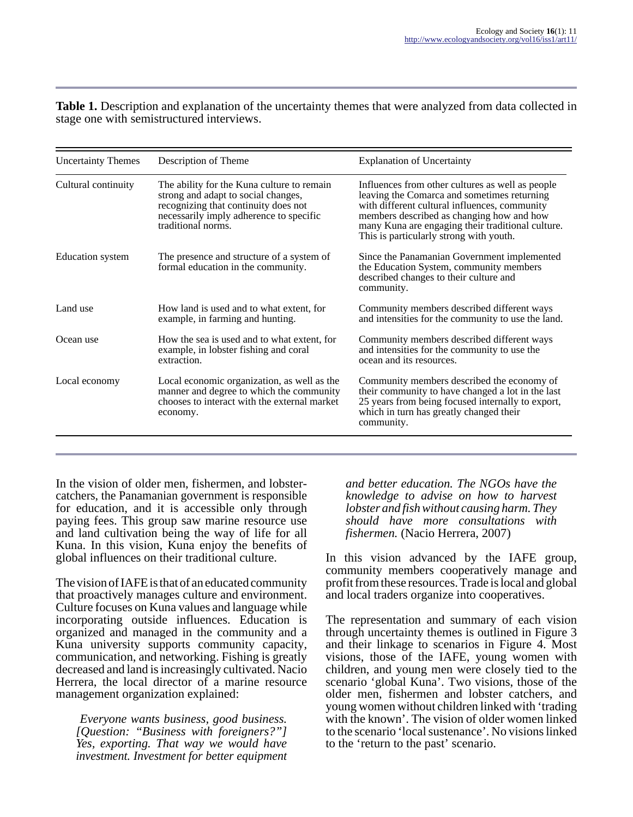**Table 1.** Description and explanation of the uncertainty themes that were analyzed from data collected in stage one with semistructured interviews.

| Description of Theme                                                                                                                                                                       | <b>Explanation of Uncertainty</b>                                                                                                                                                                                                                                                             |  |  |
|--------------------------------------------------------------------------------------------------------------------------------------------------------------------------------------------|-----------------------------------------------------------------------------------------------------------------------------------------------------------------------------------------------------------------------------------------------------------------------------------------------|--|--|
| The ability for the Kuna culture to remain<br>strong and adapt to social changes,<br>recognizing that continuity does not<br>necessarily imply adherence to specific<br>traditional norms. | Influences from other cultures as well as people<br>leaving the Comarca and sometimes returning<br>with different cultural influences, community<br>members described as changing how and how<br>many Kuna are engaging their traditional culture.<br>This is particularly strong with youth. |  |  |
| The presence and structure of a system of<br>formal education in the community.                                                                                                            | Since the Panamanian Government implemented<br>the Education System, community members<br>described changes to their culture and<br>community.                                                                                                                                                |  |  |
| How land is used and to what extent, for<br>example, in farming and hunting.                                                                                                               | Community members described different ways<br>and intensities for the community to use the land.                                                                                                                                                                                              |  |  |
| How the sea is used and to what extent, for<br>example, in lobster fishing and coral<br>extraction.                                                                                        | Community members described different ways<br>and intensities for the community to use the<br>ocean and its resources.                                                                                                                                                                        |  |  |
| Local economic organization, as well as the<br>manner and degree to which the community<br>chooses to interact with the external market<br>economy.                                        | Community members described the economy of<br>their community to have changed a lot in the last<br>25 years from being focused internally to export,<br>which in turn has greatly changed their<br>community.                                                                                 |  |  |
|                                                                                                                                                                                            |                                                                                                                                                                                                                                                                                               |  |  |

In the vision of older men, fishermen, and lobstercatchers, the Panamanian government is responsible for education, and it is accessible only through paying fees. This group saw marine resource use and land cultivation being the way of life for all Kuna. In this vision, Kuna enjoy the benefits of global influences on their traditional culture.

The vision of IAFE is that of an educated community that proactively manages culture and environment. Culture focuses on Kuna values and language while incorporating outside influences. Education is organized and managed in the community and a Kuna university supports community capacity, communication, and networking. Fishing is greatly decreased and land is increasingly cultivated. Nacio Herrera, the local director of a marine resource management organization explained:

*Everyone wants business, good business. [Question: "Business with foreigners?"] Yes, exporting. That way we would have investment. Investment for better equipment*

*and better education. The NGOs have the knowledge to advise on how to harvest lobster and fish without causing harm. They should have more consultations with fishermen.* (Nacio Herrera, 2007)

In this vision advanced by the IAFE group, community members cooperatively manage and profit from these resources. Trade is local and global and local traders organize into cooperatives.

The representation and summary of each vision through uncertainty themes is outlined in Figure 3 and their linkage to scenarios in Figure 4. Most visions, those of the IAFE, young women with children, and young men were closely tied to the scenario 'global Kuna'. Two visions, those of the older men, fishermen and lobster catchers, and young women without children linked with 'trading with the known'. The vision of older women linked to the scenario 'local sustenance'. No visions linked to the 'return to the past' scenario.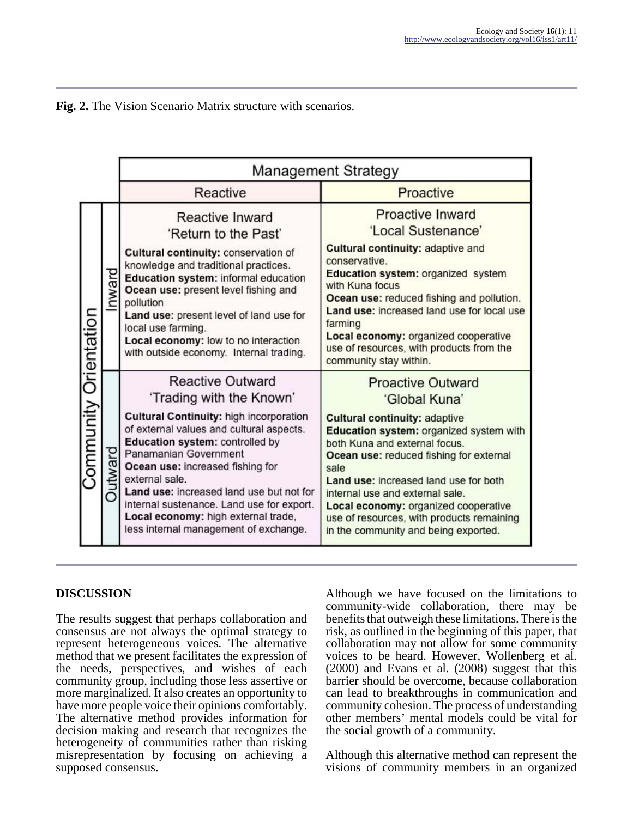

|                       |         | Management Strategy                                                                                                                                                                                                                                                                                                                                                                                                                   |                                                                                                                                                                                                                                                                                                                                                                                                                           |  |
|-----------------------|---------|---------------------------------------------------------------------------------------------------------------------------------------------------------------------------------------------------------------------------------------------------------------------------------------------------------------------------------------------------------------------------------------------------------------------------------------|---------------------------------------------------------------------------------------------------------------------------------------------------------------------------------------------------------------------------------------------------------------------------------------------------------------------------------------------------------------------------------------------------------------------------|--|
|                       |         | Reactive                                                                                                                                                                                                                                                                                                                                                                                                                              | Proactive                                                                                                                                                                                                                                                                                                                                                                                                                 |  |
| Community Orientation | nward   | Reactive Inward<br>'Return to the Past'<br>Cultural continuity: conservation of<br>knowledge and traditional practices.<br>Education system: informal education<br>Ocean use: present level fishing and<br>pollution<br>Land use: present level of land use for<br>local use farming.<br>Local economy: low to no interaction<br>with outside economy. Internal trading.                                                              | <b>Proactive Inward</b><br>'Local Sustenance'<br>Cultural continuity: adaptive and<br>conservative.<br>Education system: organized system<br>with Kuna focus<br>Ocean use: reduced fishing and pollution.<br>Land use: increased land use for local use<br>farming<br>Local economy: organized cooperative<br>use of resources, with products from the<br>community stay within.                                          |  |
|                       | Outward | <b>Reactive Outward</b><br>'Trading with the Known'<br>Cultural Continuity: high incorporation<br>of external values and cultural aspects.<br>Education system: controlled by<br>Panamanian Government<br>Ocean use: increased fishing for<br>external sale.<br>Land use: increased land use but not for<br>internal sustenance. Land use for export.<br>Local economy: high external trade,<br>less internal management of exchange. | <b>Proactive Outward</b><br>'Global Kuna'<br><b>Cultural continuity: adaptive</b><br>Education system: organized system with<br>both Kuna and external focus.<br>Ocean use: reduced fishing for external<br>sale<br>Land use: increased land use for both<br>internal use and external sale.<br>Local economy: organized cooperative<br>use of resources, with products remaining<br>in the community and being exported. |  |

# **DISCUSSION**

The results suggest that perhaps collaboration and consensus are not always the optimal strategy to represent heterogeneous voices. The alternative method that we present facilitates the expression of the needs, perspectives, and wishes of each community group, including those less assertive or more marginalized. It also creates an opportunity to have more people voice their opinions comfortably. The alternative method provides information for decision making and research that recognizes the heterogeneity of communities rather than risking misrepresentation by focusing on achieving a supposed consensus.

Although we have focused on the limitations to community-wide collaboration, there may be benefits that outweigh these limitations. There is the risk, as outlined in the beginning of this paper, that collaboration may not allow for some community voices to be heard. However, Wollenberg et al. (2000) and Evans et al. (2008) suggest that this barrier should be overcome, because collaboration can lead to breakthroughs in communication and community cohesion. The process of understanding other members' mental models could be vital for the social growth of a community.

Although this alternative method can represent the visions of community members in an organized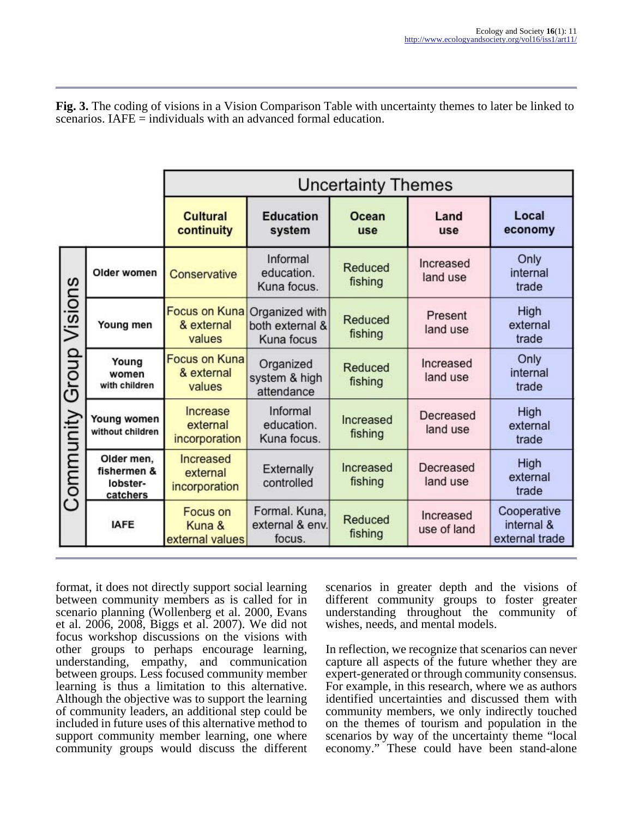**Fig. 3.** The coding of visions in a Vision Comparison Table with uncertainty themes to later be linked to scenarios. IAFE = individuals with an advanced formal education.

|                            |                                                   | <b>Uncertainty Themes</b>                    |                                                 |                           |                          |                                             |  |
|----------------------------|---------------------------------------------------|----------------------------------------------|-------------------------------------------------|---------------------------|--------------------------|---------------------------------------------|--|
|                            |                                                   | <b>Cultural</b><br>continuity                | <b>Education</b><br>system                      | Ocean<br>use              | Land<br>use              | Local<br>economy                            |  |
| Group Visions<br>Community | Older women                                       | Conservative                                 | Informal<br>education.<br>Kuna focus.           | Reduced<br>fishing        | Increased<br>land use    | Only<br>internal<br>trade                   |  |
|                            | Young men                                         | <b>Focus on Kuna</b><br>& external<br>values | Organized with<br>both external &<br>Kuna focus | <b>Reduced</b><br>fishing | Present<br>land use      | High<br>external<br>trade                   |  |
|                            | Young<br>women<br>with children                   | <b>Focus on Kuna</b><br>& external<br>values | Organized<br>system & high<br>attendance        | Reduced<br>fishing        | Increased<br>land use    | Only<br>internal<br>trade                   |  |
|                            | Young women<br>without children                   | Increase<br>external<br>incorporation        | Informal<br>education.<br>Kuna focus.           | Increased<br>fishing      | Decreased<br>land use    | <b>High</b><br>external<br>trade            |  |
|                            | Older men,<br>fishermen &<br>lobster-<br>catchers | Increased<br>external<br>incorporation       | Externally<br>controlled                        | Increased<br>fishing      | Decreased<br>land use    | High<br>external<br>trade                   |  |
|                            | <b>IAFE</b>                                       | <b>Focus on</b><br>Kuna &<br>external values | Formal. Kuna,<br>external & env.<br>focus.      | Reduced<br>fishing        | Increased<br>use of land | Cooperative<br>internal &<br>external trade |  |

format, it does not directly support social learning between community members as is called for in scenario planning (Wollenberg et al. 2000, Evans et al. 2006, 2008, Biggs et al. 2007). We did not focus workshop discussions on the visions with other groups to perhaps encourage learning, understanding, empathy, and communication between groups. Less focused community member learning is thus a limitation to this alternative. Although the objective was to support the learning of community leaders, an additional step could be included in future uses of this alternative method to support community member learning, one where community groups would discuss the different scenarios in greater depth and the visions of different community groups to foster greater understanding throughout the community of wishes, needs, and mental models.

In reflection, we recognize that scenarios can never capture all aspects of the future whether they are expert-generated or through community consensus. For example, in this research, where we as authors identified uncertainties and discussed them with community members, we only indirectly touched on the themes of tourism and population in the scenarios by way of the uncertainty theme "local economy." These could have been stand-alone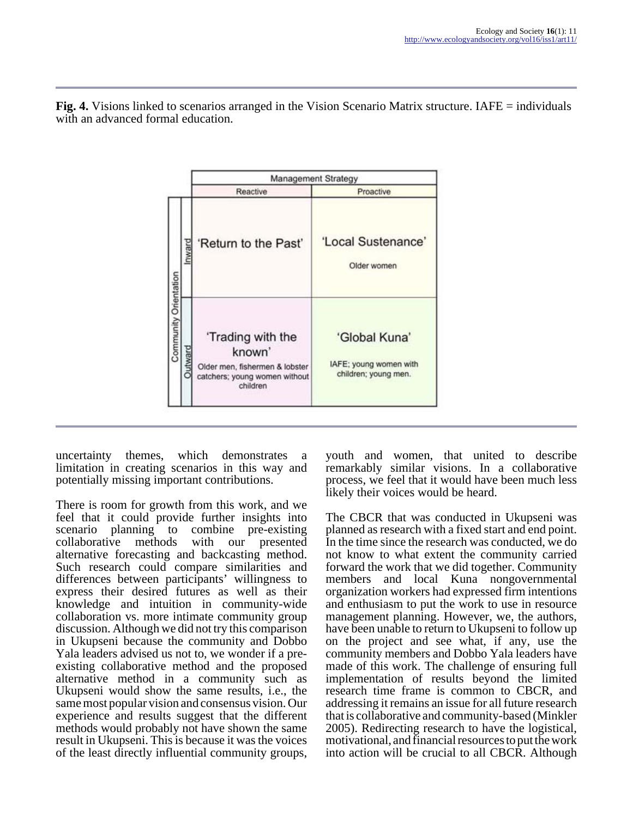

**Fig. 4.** Visions linked to scenarios arranged in the Vision Scenario Matrix structure. IAFE = individuals with an advanced formal education.

uncertainty themes, which demonstrates a limitation in creating scenarios in this way and potentially missing important contributions.

There is room for growth from this work, and we feel that it could provide further insights into combine pre-existing<br>with our presented collaborative methods with our presented alternative forecasting and backcasting method. Such research could compare similarities and differences between participants' willingness to express their desired futures as well as their knowledge and intuition in community-wide collaboration vs. more intimate community group discussion. Although we did not try this comparison in Ukupseni because the community and Dobbo Yala leaders advised us not to, we wonder if a preexisting collaborative method and the proposed alternative method in a community such as Ukupseni would show the same results, i.e., the same most popular vision and consensus vision. Our experience and results suggest that the different methods would probably not have shown the same result in Ukupseni. This is because it was the voices of the least directly influential community groups,

youth and women, that united to describe remarkably similar visions. In a collaborative process, we feel that it would have been much less likely their voices would be heard.

The CBCR that was conducted in Ukupseni was planned as research with a fixed start and end point. In the time since the research was conducted, we do not know to what extent the community carried forward the work that we did together. Community members and local Kuna nongovernmental organization workers had expressed firm intentions and enthusiasm to put the work to use in resource management planning. However, we, the authors, have been unable to return to Ukupseni to follow up on the project and see what, if any, use the community members and Dobbo Yala leaders have made of this work. The challenge of ensuring full implementation of results beyond the limited research time frame is common to CBCR, and addressing it remains an issue for all future research that is collaborative and community-based (Minkler 2005). Redirecting research to have the logistical, motivational, and financial resources to put the work into action will be crucial to all CBCR. Although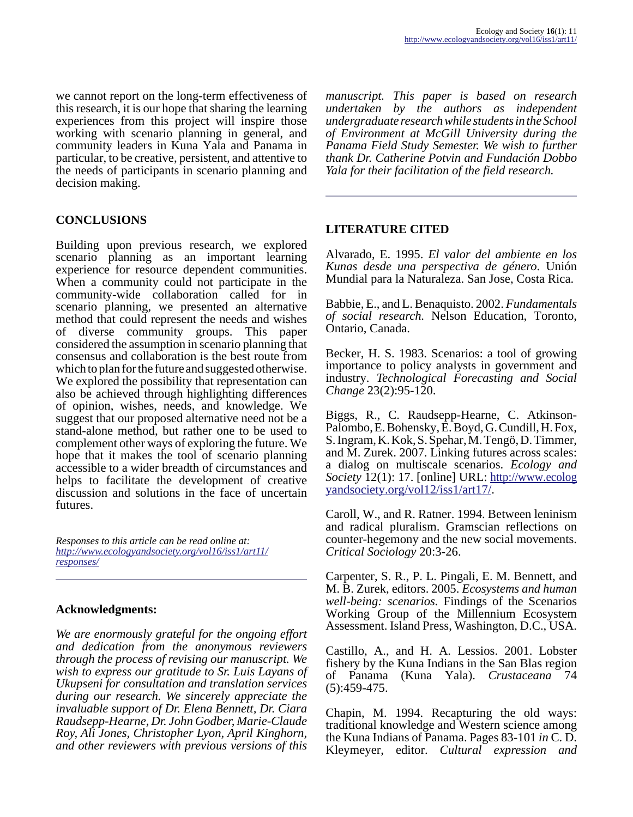we cannot report on the long-term effectiveness of this research, it is our hope that sharing the learning experiences from this project will inspire those working with scenario planning in general, and community leaders in Kuna Yala and Panama in particular, to be creative, persistent, and attentive to the needs of participants in scenario planning and decision making.

# **CONCLUSIONS**

Building upon previous research, we explored scenario planning as an important learning experience for resource dependent communities. When a community could not participate in the community-wide collaboration called for in scenario planning, we presented an alternative method that could represent the needs and wishes of diverse community groups. This paper considered the assumption in scenario planning that consensus and collaboration is the best route from which to plan for the future and suggested otherwise. We explored the possibility that representation can also be achieved through highlighting differences of opinion, wishes, needs, and knowledge. We suggest that our proposed alternative need not be a stand-alone method, but rather one to be used to complement other ways of exploring the future. We hope that it makes the tool of scenario planning accessible to a wider breadth of circumstances and helps to facilitate the development of creative discussion and solutions in the face of uncertain futures.

*Responses to this article can be read online at: [http://www](http://www.ecologyandsociety.org/vol16/iss1/art11/responses/).ecologyandsociety.org/vol16/iss1/art11/ responses/*

#### **Acknowledgments:**

*We are enormously grateful for the ongoing effort and dedication from the anonymous reviewers through the process of revising our manuscript. We wish to express our gratitude to Sr. Luis Layans of Ukupseni for consultation and translation services during our research. We sincerely appreciate the invaluable support of Dr. Elena Bennett, Dr. Ciara Raudsepp-Hearne, Dr. John Godber, Marie-Claude Roy, Ali Jones, Christopher Lyon, April Kinghorn, and other reviewers with previous versions of this*

*manuscript. This paper is based on research undertaken by the authors as independent undergraduate research while students in the School of Environment at McGill University during the Panama Field Study Semester. We wish to further thank Dr. Catherine Potvin and Fundación Dobbo Yala for their facilitation of the field research.*

### **LITERATURE CITED**

Alvarado, E. 1995. *El valor del ambiente en los Kunas desde una perspectiva de género*. Unión Mundial para la Naturaleza. San Jose, Costa Rica.

Babbie, E., and L. Benaquisto. 2002. *Fundamentals of social research.* Nelson Education, Toronto, Ontario, Canada.

Becker, H. S. 1983. Scenarios: a tool of growing importance to policy analysts in government and industry. *Technological Forecasting and Social Change* 23(2):95-120.

Biggs, R., C. Raudsepp-Hearne, C. Atkinson-Palombo, E. Bohensky, E. Boyd, G. Cundill, H. Fox, S. Ingram, K. Kok, S. Spehar, M. Tengö, D. Timmer, and M. Zurek. 2007. Linking futures across scales: a dialog on multiscale scenarios. *Ecology and Society* 12(1): 17. [online] URL: [http://www.ecolog](http://www.ecologyandsociety.org/vol12/iss1/art17/) [yandsociety.org/vol12/iss1/art17/](http://www.ecologyandsociety.org/vol12/iss1/art17/).

Caroll, W., and R. Ratner. 1994. Between leninism and radical pluralism. Gramscian reflections on counter-hegemony and the new social movements. *Critical Sociology* 20:3-26.

Carpenter, S. R., P. L. Pingali, E. M. Bennett, and M. B. Zurek, editors. 2005. *Ecosystems and human well-being: scenarios.* Findings of the Scenarios Working Group of the Millennium Ecosystem Assessment. Island Press, Washington, D.C., USA.

Castillo, A., and H. A. Lessios. 2001. Lobster fishery by the Kuna Indians in the San Blas region of Panama (Kuna Yala). *Crustaceana* 74 (5):459-475.

Chapin, M. 1994. Recapturing the old ways: traditional knowledge and Western science among the Kuna Indians of Panama. Pages 83-101 *in* C. D. Kleymeyer, editor. *Cultural expression and*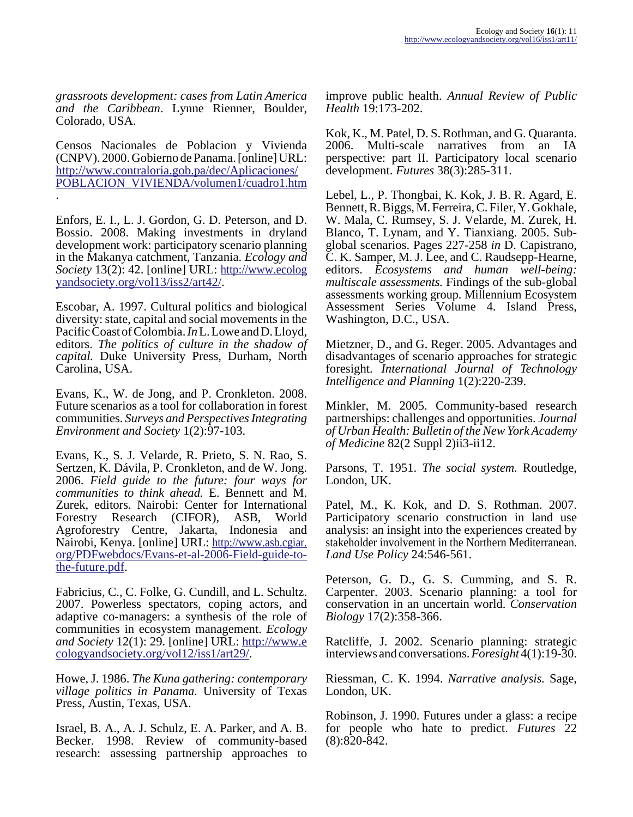*grassroots development: cases from Latin America and the Caribbean*. Lynne Rienner, Boulder, Colorado, USA.

Censos Nacionales de Poblacion y Vivienda (CNPV). 2000. Gobierno de Panama. [online] URL: [http://www.contraloria.gob.pa/dec/Aplicaciones/](http://www.contraloria.gob.pa/dec/Aplicaciones/POBLACION_VIVIENDA/volumen1/cuadr o1.htm) [POBLACION\\_VIVIENDA/volumen1/cuadro1.htm](http://www.contraloria.gob.pa/dec/Aplicaciones/POBLACION_VIVIENDA/volumen1/cuadr o1.htm) .

Enfors, E. I., L. J. Gordon, G. D. Peterson, and D. Bossio. 2008. Making investments in dryland development work: participatory scenario planning in the Makanya catchment, Tanzania. *Ecology and Society* 13(2): 42. [online] URL: [http://www.ecolog](http://www.ecologyandsociety.org/vol13/iss2/art42/) [yandsociety.org/vol13/iss2/art42/](http://www.ecologyandsociety.org/vol13/iss2/art42/).

Escobar, A. 1997. Cultural politics and biological diversity: state, capital and social movements in the Pacific Coast of Colombia. *In* L. Lowe and D. Lloyd, editors. *The politics of culture in the shadow of capital.* Duke University Press, Durham, North Carolina, USA.

Evans, K., W. de Jong, and P. Cronkleton. 2008. Future scenarios as a tool for collaboration in forest communities. *Surveys and Perspectives Integrating Environment and Society* 1(2):97-103.

Evans, K., S. J. Velarde, R. Prieto, S. N. Rao, S. Sertzen, K. Dávila, P. Cronkleton, and de W. Jong. 2006. *Field guide to the future: four ways for communities to think ahead.* E. Bennett and M. Zurek, editors. Nairobi: Center for International Forestry Research (CIFOR), ASB, World Agroforestry Centre, Jakarta, Indonesia and Nairobi, Kenya. [online] URL: [http://www.asb.cgiar.](http://www.asb.cgiar.org/PDFwebdocs/Evans-et-al-2006-Field-guide-to-the-future.pdf) org/PDFwebdocs/Evans-et-al-2006-Field-guide-to[the-future.pdf](http://www.asb.cgiar.org/PDFwebdocs/Evans-et-al-2006-Field-guide-to-the-future.pdf).

Fabricius, C., C. Folke, G. Cundill, and L. Schultz. 2007. Powerless spectators, coping actors, and adaptive co-managers: a synthesis of the role of communities in ecosystem management. *Ecology and Society* 12(1): 29. [online] URL: [http://www.e](http://www.ecologyandsociety.org/vol12/iss1/art29/) [cologyandsociety.org/vol12/iss1/art29/.](http://www.ecologyandsociety.org/vol12/iss1/art29/)

Howe, J. 1986. *The Kuna gathering: contemporary village politics in Panama.* University of Texas Press, Austin, Texas, USA.

Israel, B. A., A. J. Schulz, E. A. Parker, and A. B. Becker. 1998. Review of community-based research: assessing partnership approaches to

improve public health. *Annual Review of Public Health* 19:173-202.

Kok, K., M. Patel, D. S. Rothman, and G. Quaranta. 2006. Multi-scale narratives from an IA perspective: part II. Participatory local scenario development. *Futures* 38(3):285-311.

Lebel, L., P. Thongbai, K. Kok, J. B. R. Agard, E. Bennett, R. Biggs, M. Ferreira, C. Filer, Y. Gokhale, W. Mala, C. Rumsey, S. J. Velarde, M. Zurek, H. Blanco, T. Lynam, and Y. Tianxiang. 2005. Subglobal scenarios. Pages 227-258 *in* D. Capistrano, C. K. Samper, M. J. Lee, and C. Raudsepp-Hearne, editors. *Ecosystems and human well-being: multiscale assessments.* Findings of the sub-global assessments working group. Millennium Ecosystem Assessment Series Volume 4. Island Press, Washington, D.C., USA.

Mietzner, D., and G. Reger. 2005. Advantages and disadvantages of scenario approaches for strategic foresight. *International Journal of Technology Intelligence and Planning* 1(2):220-239.

Minkler, M. 2005. Community-based research partnerships: challenges and opportunities. *Journal of Urban Health: Bulletin of the New York Academy of Medicine* 82(2 Suppl 2)ii3-ii12.

Parsons, T. 1951. *The social system.* Routledge, London, UK.

Patel, M., K. Kok, and D. S. Rothman. 2007. Participatory scenario construction in land use analysis: an insight into the experiences created by stakeholder involvement in the Northern Mediterranean. *Land Use Policy* 24:546-561.

Peterson, G. D., G. S. Cumming, and S. R. Carpenter. 2003. Scenario planning: a tool for conservation in an uncertain world. *Conservation Biology* 17(2):358-366.

Ratcliffe, J. 2002. Scenario planning: strategic interviews and conversations. *Foresight* 4(1):19-30.

Riessman, C. K. 1994. *Narrative analysis.* Sage, London, UK.

Robinson, J. 1990. Futures under a glass: a recipe for people who hate to predict. *Futures* 22 (8):820-842.